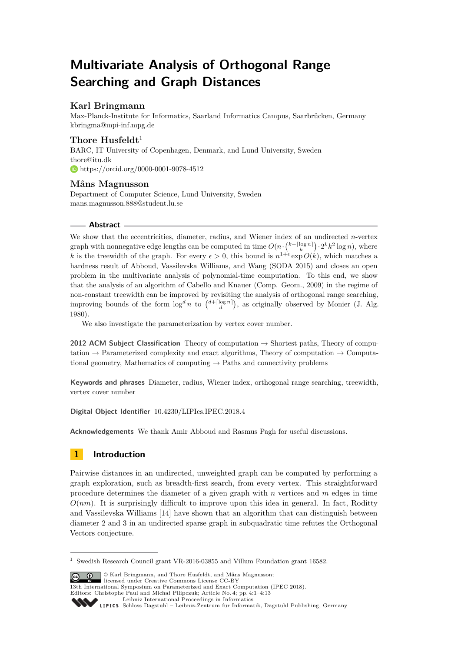# **Multivariate Analysis of Orthogonal Range Searching and Graph Distances**

# **Karl Bringmann**

Max-Planck-Institute for Informatics, Saarland Informatics Campus, Saarbrücken, Germany [kbringma@mpi-inf.mpg.de](mailto:kbringma@mpi-inf.mpg.de)

# **Thore Husfeldt**<sup>1</sup>

BARC, IT University of Copenhagen, Denmark, and Lund University, Sweden [thore@itu.dk](mailto:thore@itu.dk) <https://orcid.org/0000-0001-9078-4512>

# **Måns Magnusson**

Department of Computer Science, Lund University, Sweden [mans.magnusson.888@student.lu.se](mailto:mans.magnusson.888@student.lu.se)

# **Abstract**

We show that the eccentricities, diameter, radius, and Wiener index of an undirected *n*-vertex graph with nonnegative edge lengths can be computed in time  $O(n \cdot {k + \lceil \log n \rceil}) \cdot 2^k k^2 \log n$ , where k is the treewidth of the graph. For every  $\epsilon > 0$ , this bound is  $n^{1+\epsilon} \exp O(k)$ , which matches a hardness result of Abboud, Vassilevska Williams, and Wang (SODA 2015) and closes an open problem in the multivariate analysis of polynomial-time computation. To this end, we show that the analysis of an algorithm of Cabello and Knauer (Comp. Geom., 2009) in the regime of non-constant treewidth can be improved by revisiting the analysis of orthogonal range searching, improving bounds of the form  $\log^d n$  to  $\binom{d + \lceil \log n \rceil}{d}$ , as originally observed by Monier (J. Alg. 1980).

We also investigate the parameterization by vertex cover number.

**2012 ACM Subject Classification** Theory of computation → Shortest paths, Theory of computation  $\rightarrow$  Parameterized complexity and exact algorithms, Theory of computation  $\rightarrow$  Computational geometry, Mathematics of computing  $\rightarrow$  Paths and connectivity problems

**Keywords and phrases** Diameter, radius, Wiener index, orthogonal range searching, treewidth, vertex cover number

**Digital Object Identifier** [10.4230/LIPIcs.IPEC.2018.4](https://doi.org/10.4230/LIPIcs.IPEC.2018.4)

**Acknowledgements** We thank Amir Abboud and Rasmus Pagh for useful discussions.

# **1 Introduction**

Pairwise distances in an undirected, unweighted graph can be computed by performing a graph exploration, such as breadth-first search, from every vertex. This straightforward procedure determines the diameter of a given graph with *n* vertices and *m* edges in time  $O(nm)$ . It is surprisingly difficult to improve upon this idea in general. In fact, Roditty and Vassilevska Williams [\[14\]](#page-12-0) have shown that an algorithm that can distinguish between diameter 2 and 3 in an undirected sparse graph in subquadratic time refutes the Orthogonal Vectors conjecture.

© Karl Bringmann, and Thore Husfeldt, and Måns Magnusson; licensed under Creative Commons License CC-BY

13th International Symposium on Parameterized and Exact Computation (IPEC 2018).

Editors: Christophe Paul and Michał Pilipczuk; Article No. 4; pp. 4:1–4[:13](#page-12-1)

 $^{\rm 1}$  Swedish Research Council grant VR-2016-03855 and Villum Foundation grant 16582.

[Leibniz International Proceedings in Informatics](http://www.dagstuhl.de/lipics/) Leibniz international Floretungs in miximismos<br>
LIPICS [Schloss Dagstuhl – Leibniz-Zentrum für Informatik, Dagstuhl Publishing, Germany](http://www.dagstuhl.de)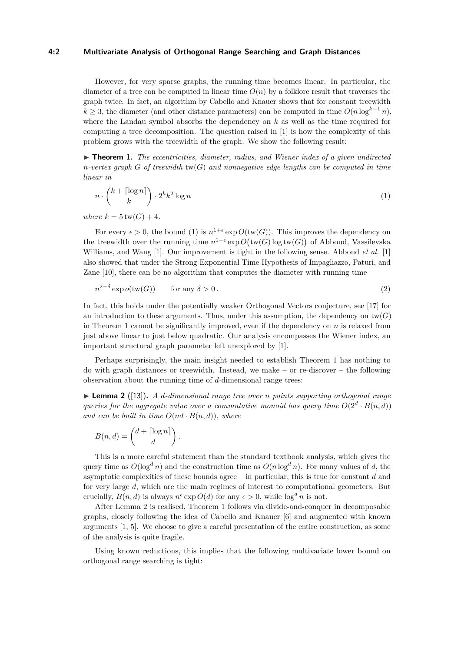#### **4:2 Multivariate Analysis of Orthogonal Range Searching and Graph Distances**

However, for very sparse graphs, the running time becomes linear. In particular, the diameter of a tree can be computed in linear time  $O(n)$  by a folklore result that traverses the graph twice. In fact, an algorithm by Cabello and Knauer shows that for constant treewidth *k* ≥ 3, the diameter (and other distance parameters) can be computed in time  $O(n \log^{k-1} n)$ , where the Landau symbol absorbs the dependency on *k* as well as the time required for computing a tree decomposition. The question raised in [\[1\]](#page-11-0) is how the complexity of this problem grows with the treewidth of the graph. We show the following result:

<span id="page-1-1"></span> $\triangleright$  **Theorem 1.** *The eccentricities, diameter, radius, and Wiener index of a given undirected n-vertex graph G of treewidth* tw(*G*) *and nonnegative edge lengths can be computed in time linear in*

<span id="page-1-0"></span>
$$
n \cdot \binom{k + \lceil \log n \rceil}{k} \cdot 2^k k^2 \log n \tag{1}
$$

*where*  $k = 5$  *tw*(*G*) + 4*.* 

For every  $\epsilon > 0$ , the bound [\(1\)](#page-1-0) is  $n^{1+\epsilon} \exp O(\text{tw}(G))$ . This improves the dependency on the treewidth over the running time  $n^{1+\epsilon} \exp O(\text{tw}(G) \log \text{tw}(G))$  of Abboud, Vassilevska Williams, and Wang [\[1\]](#page-11-0). Our improvement is tight in the following sense. Abboud *et al.* [\[1\]](#page-11-0) also showed that under the Strong Exponential Time Hypothesis of Impagliazzo, Paturi, and Zane [\[10\]](#page-12-2), there can be no algorithm that computes the diameter with running time

<span id="page-1-3"></span>
$$
n^{2-\delta}\exp o(\text{tw}(G))\qquad\text{for any }\delta>0\,.
$$

In fact, this holds under the potentially weaker Orthogonal Vectors conjecture, see [\[17\]](#page-12-3) for an introduction to these arguments. Thus, under this assumption, the dependency on  $tw(G)$ in Theorem [1](#page-1-1) cannot be significantly improved, even if the dependency on *n* is relaxed from just above linear to just below quadratic. Our analysis encompasses the Wiener index, an important structural graph parameter left unexplored by [\[1\]](#page-11-0).

Perhaps surprisingly, the main insight needed to establish Theorem [1](#page-1-1) has nothing to do with graph distances or treewidth. Instead, we make – or re-discover – the following observation about the running time of *d*-dimensional range trees:

<span id="page-1-2"></span>I **Lemma 2** ([\[13\]](#page-12-4))**.** *A d-dimensional range tree over n points supporting orthogonal range queries for the aggregate value over a commutative monoid has query time*  $O(2^d \cdot B(n,d))$ *and can be built in time*  $O(nd \cdot B(n, d))$ *, where* 

$$
B(n, d) = \begin{pmatrix} d + \lceil \log n \rceil \\ d \end{pmatrix}.
$$

This is a more careful statement than the standard textbook analysis, which gives the query time as  $O(\log^d n)$  and the construction time as  $O(n \log^d n)$ . For many values of *d*, the asymptotic complexities of these bounds agree – in particular, this is true for constant *d* and for very large *d*, which are the main regimes of interest to computational geometers. But crucially,  $B(n, d)$  is always  $n^{\epsilon} \exp O(d)$  for any  $\epsilon > 0$ , while  $\log^d n$  is not.

After Lemma [2](#page-1-2) is realised, Theorem [1](#page-1-1) follows via divide-and-conquer in decomposable graphs, closely following the idea of Cabello and Knauer [\[6\]](#page-12-5) and augmented with known arguments [\[1,](#page-11-0) [5\]](#page-12-6). We choose to give a careful presentation of the entire construction, as some of the analysis is quite fragile.

Using known reductions, this implies that the following multivariate lower bound on orthogonal range searching is tight: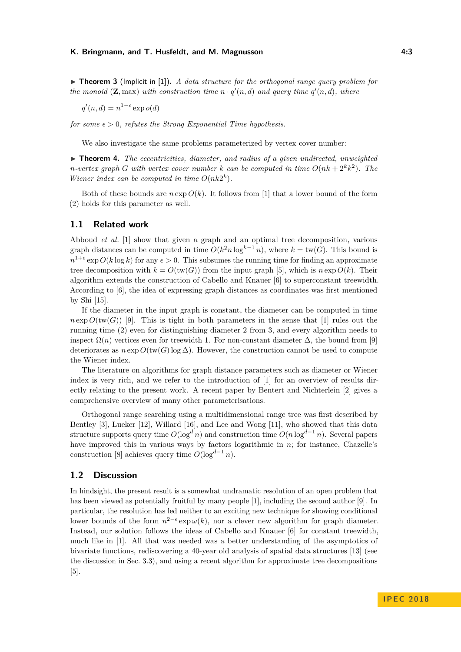▶ **Theorem 3** (Implicit in [\[1\]](#page-11-0)). *A data structure for the orthogonal range query problem for the monoid* ( $\mathbf{Z}$ *, max) with construction time*  $n \cdot q'(n, d)$  *and query time*  $q'(n, d)$ *, where* 

 $q'(n, d) = n^{1-\epsilon} \exp o(d)$ 

*for some*  $\epsilon > 0$ *, refutes the Strong Exponential Time hypothesis.* 

We also investigate the same problems parameterized by vertex cover number:

▶ **Theorem 4.** *The eccentricities, diameter, and radius of a given undirected, unweighted n*-vertex graph *G* with vertex cover number *k* can be computed in time  $O(nk + 2^k k^2)$ . The *Wiener index can be computed in time*  $O(nk2^k)$ *.* 

Both of these bounds are  $n \exp O(k)$ . It follows from [\[1\]](#page-11-0) that a lower bound of the form [\(2\)](#page-1-3) holds for this parameter as well.

# **1.1 Related work**

Abboud *et al.* [\[1\]](#page-11-0) show that given a graph and an optimal tree decomposition, various graph distances can be computed in time  $O(k^2 n \log^{k-1} n)$ , where  $k = \text{tw}(G)$ . This bound is  $n^{1+\epsilon}$  exp  $O(k \log k)$  for any  $\epsilon > 0$ . This subsumes the running time for finding an approximate tree decomposition with  $k = O(tw(G))$  from the input graph [\[5\]](#page-12-6), which is  $n \exp O(k)$ . Their algorithm extends the construction of Cabello and Knauer [\[6\]](#page-12-5) to superconstant treewidth. According to [\[6\]](#page-12-5), the idea of expressing graph distances as coordinates was first mentioned by Shi [\[15\]](#page-12-7).

If the diameter in the input graph is constant, the diameter can be computed in time  $n \exp O(tw(G))$  [\[9\]](#page-12-8). This is tight in both parameters in the sense that [\[1\]](#page-11-0) rules out the running time [\(2\)](#page-1-3) even for distinguishing diameter 2 from 3, and every algorithm needs to inspect  $\Omega(n)$  vertices even for treewidth 1. For non-constant diameter  $\Delta$ , the bound from [\[9\]](#page-12-8) deteriorates as  $n \exp O(tw(G) \log \Delta)$ . However, the construction cannot be used to compute the Wiener index.

The literature on algorithms for graph distance parameters such as diameter or Wiener index is very rich, and we refer to the introduction of [\[1\]](#page-11-0) for an overview of results directly relating to the present work. A recent paper by Bentert and Nichterlein [\[2\]](#page-11-1) gives a comprehensive overview of many other parameterisations.

Orthogonal range searching using a multidimensional range tree was first described by Bentley [\[3\]](#page-11-2), Lueker [\[12\]](#page-12-9), Willard [\[16\]](#page-12-10), and Lee and Wong [\[11\]](#page-12-11), who showed that this data structure supports query time  $O(\log^d n)$  and construction time  $O(n \log^{d-1} n)$ . Several papers have improved this in various ways by factors logarithmic in *n*; for instance, Chazelle's construction [\[8\]](#page-12-12) achieves query time  $O(\log^{d-1} n)$ .

#### **1.2 Discussion**

In hindsight, the present result is a somewhat undramatic resolution of an open problem that has been viewed as potentially fruitful by many people [\[1\]](#page-11-0), including the second author [\[9\]](#page-12-8). In particular, the resolution has led neither to an exciting new technique for showing conditional lower bounds of the form  $n^{2-\epsilon} \exp \omega(k)$ , nor a clever new algorithm for graph diameter. Instead, our solution follows the ideas of Cabello and Knauer [\[6\]](#page-12-5) for constant treewidth, much like in [\[1\]](#page-11-0). All that was needed was a better understanding of the asymptotics of bivariate functions, rediscovering a 40-year old analysis of spatial data structures [\[13\]](#page-12-4) (see the discussion in Sec. [3.3\)](#page-8-0), and using a recent algorithm for approximate tree decompositions [\[5\]](#page-12-6).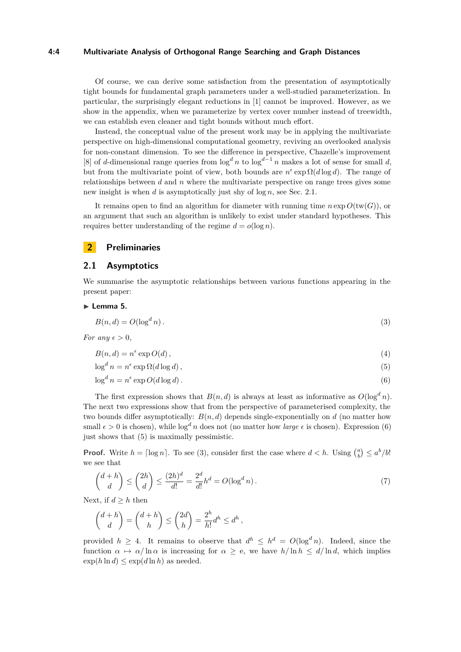#### **4:4 Multivariate Analysis of Orthogonal Range Searching and Graph Distances**

Of course, we can derive some satisfaction from the presentation of asymptotically tight bounds for fundamental graph parameters under a well-studied parameterization. In particular, the surprisingly elegant reductions in [\[1\]](#page-11-0) cannot be improved. However, as we show in the appendix, when we parameterize by vertex cover number instead of treewidth, we can establish even cleaner and tight bounds without much effort.

Instead, the conceptual value of the present work may be in applying the multivariate perspective on high-dimensional computational geometry, reviving an overlooked analysis for non-constant dimension. To see the difference in perspective, Chazelle's improvement [\[8\]](#page-12-12) of *d*-dimensional range queries from  $\log^d n$  to  $\log^{d-1} n$  makes a lot of sense for small *d*, but from the multivariate point of view, both bounds are  $n^{\epsilon} \exp \Omega(d \log d)$ . The range of relationships between *d* and *n* where the multivariate perspective on range trees gives some new insight is when *d* is asymptotically just shy of log *n*, see Sec. [2.1.](#page-3-0)

It remains open to find an algorithm for diameter with running time  $n \exp O(tw(G))$ , or an argument that such an algorithm is unlikely to exist under standard hypotheses. This requires better understanding of the regime  $d = o(\log n)$ .

### **2 Preliminaries**

## <span id="page-3-0"></span>**2.1 Asymptotics**

We summarise the asymptotic relationships between various functions appearing in the present paper:

#### <span id="page-3-3"></span>► Lemma 5.

$$
B(n,d) = O(\log^d n). \tag{3}
$$

*For any*  $\epsilon > 0$ *,* 

<span id="page-3-4"></span>
$$
B(n,d) = n^{\epsilon} \exp O(d),\tag{4}
$$

<span id="page-3-2"></span><span id="page-3-1"></span>
$$
\log^d n = n^{\epsilon} \exp \Omega(d \log d), \tag{5}
$$

$$
\log^d n = n^{\epsilon} \exp O(d \log d). \tag{6}
$$

The first expression shows that  $B(n, d)$  is always at least as informative as  $O(\log^d n)$ . The next two expressions show that from the perspective of parameterised complexity, the two bounds differ asymptotically:  $B(n, d)$  depends single-exponentially on d (no matter how small  $\epsilon > 0$  is chosen), while  $\log^d n$  does not (no matter how *large*  $\epsilon$  is chosen). Expression [\(6\)](#page-3-1) just shows that [\(5\)](#page-3-2) is maximally pessimistic.

**Proof.** Write  $h = \lceil \log n \rceil$ . To see [\(3\)](#page-3-3), consider first the case where  $d < h$ . Using  $\binom{a}{b} \le a^b/b!$ we see that

$$
\binom{d+h}{d} \le \binom{2h}{d} \le \frac{(2h)^d}{d!} = \frac{2^d}{d!}h^d = O(\log^d n). \tag{7}
$$

Next, if  $d \geq h$  then

$$
\binom{d+h}{d} = \binom{d+h}{h} \le \binom{2d}{h} = \frac{2^h}{h!} d^h \le d^h,
$$

provided  $h \geq 4$ . It remains to observe that  $d^h \leq h^d = O(\log^d n)$ . Indeed, since the function  $\alpha \mapsto \alpha/\ln \alpha$  is increasing for  $\alpha \geq e$ , we have  $h/\ln h \leq d/\ln d$ , which implies  $\exp(h \ln d) \leq \exp(d \ln h)$  as needed.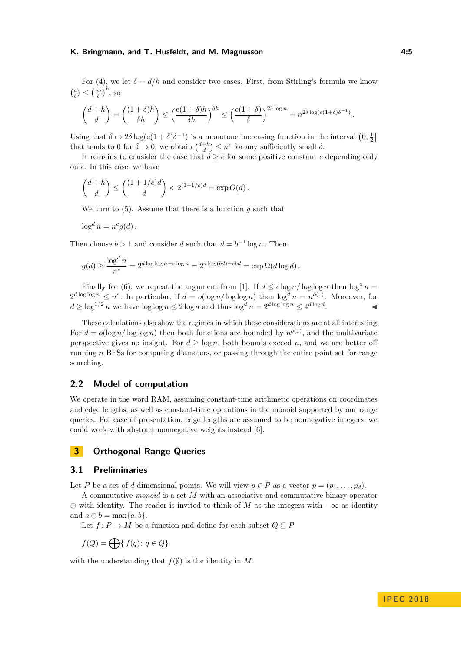For [\(4\)](#page-3-4), we let  $\delta = d/h$  and consider two cases. First, from Stirling's formula we know  $\binom{a}{b} \leq \left(\frac{ea}{b}\right)^b$ , so

$$
\binom{d+h}{d}=\binom{(1+\delta)h}{\delta h}\leq \Big(\frac{\mathrm{e}(1+\delta)h}{\delta h}\Big)^{\delta h}\leq \Big(\frac{\mathrm{e}(1+\delta)}{\delta}\Big)^{2\delta\log n}=n^{2\delta\log(\mathrm{e}(1+\delta)\delta^{-1})}
$$

Using that  $\delta \mapsto 2\delta \log(e(1+\delta)\delta^{-1})$  is a monotone increasing function in the interval  $(0, \frac{1}{2}]$ that tends to 0 for  $\delta \to 0$ , we obtain  $\binom{d+h}{d} \leq n^{\epsilon}$  for any sufficiently small  $\delta$ .

It remains to consider the case that  $\delta \geq c$  for some positive constant *c* depending only on  $\epsilon$ . In this case, we have

$$
\binom{d+h}{d} \le \binom{(1+1/c)d}{d} < 2^{(1+1/c)d} = \exp O(d).
$$

We turn to [\(5\)](#page-3-2). Assume that there is a function *g* such that

$$
\log^d n = n^c g(d).
$$

Then choose  $b > 1$  and consider *d* such that  $d = b^{-1} \log n$ . Then

$$
g(d) \ge \frac{\log^d n}{n^c} = 2^{d \log \log n - c \log n} = 2^{d \log (bd) - cbd} = \exp \Omega(d \log d).
$$

Finally for [\(6\)](#page-3-1), we repeat the argument from [\[1\]](#page-11-0). If  $d \le \epsilon \log n / \log \log n$  then  $\log^d n =$  $2^{d \log \log n} \leq n^{\epsilon}$ . In particular, if  $d = o(\log n / \log \log n)$  then  $\log^{d} n = n^{o(1)}$ . Moreover, for  $d \geq \log^{1/2} n$  we have  $\log \log n \leq 2 \log d$  and thus  $\log^d n = 2^{d \log \log n} \leq 4^{d \log d}$ .

These calculations also show the regimes in which these considerations are at all interesting. For  $d = o(\log n / \log \log n)$  then both functions are bounded by  $n^{o(1)}$ , and the multivariate perspective gives no insight. For  $d \geq \log n$ , both bounds exceed *n*, and we are better off running *n* BFSs for computing diameters, or passing through the entire point set for range searching.

#### **2.2 Model of computation**

We operate in the word RAM, assuming constant-time arithmetic operations on coordinates and edge lengths, as well as constant-time operations in the monoid supported by our range queries. For ease of presentation, edge lengths are assumed to be nonnegative integers; we could work with abstract nonnegative weights instead [\[6\]](#page-12-5).

## <span id="page-4-0"></span>**3 Orthogonal Range Queries**

# **3.1 Preliminaries**

Let *P* be a set of *d*-dimensional points. We will view  $p \in P$  as a vector  $p = (p_1, \ldots, p_d)$ .

A commutative *monoid* is a set *M* with an associative and commutative binary operator ⊕ with identity. The reader is invited to think of *M* as the integers with −∞ as identity and  $a \oplus b = \max\{a, b\}.$ 

Let  $f: P \to M$  be a function and define for each subset  $Q \subseteq P$ 

$$
f(Q) = \bigoplus \{ f(q) \colon q \in Q \}
$$

with the understanding that  $f(\emptyset)$  is the identity in *M*.

*.*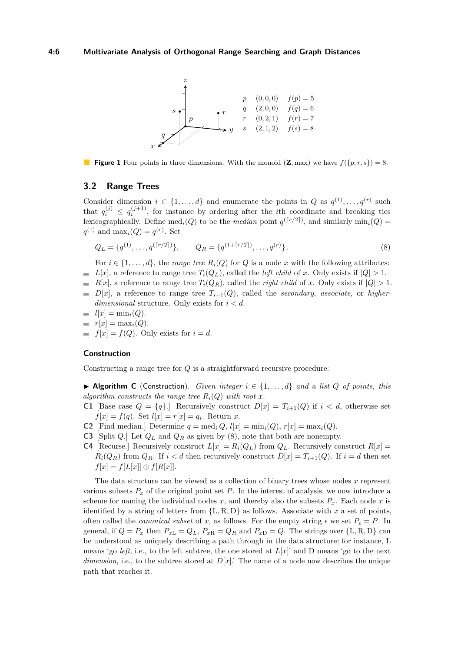<span id="page-5-1"></span>

**Figure 1** Four points in three dimensions. With the monoid  $(\mathbf{Z}, \text{max})$  we have  $f(\lbrace p, r, s \rbrace) = 8$ .

#### <span id="page-5-2"></span>**3.2 Range Trees**

Consider dimension  $i \in \{1, ..., d\}$  and enumerate the points in *Q* as  $q^{(1)}, ..., q^{(r)}$  such that  $q_i^{(j)} \leq q_i^{(j+1)}$ , for instance by ordering after the *i*th coordinate and breaking ties lexicographically. Define  $\text{med}_i(Q)$  to be the *median* point  $q^{(\lceil r/2 \rceil)}$ , and similarly  $\min_i(Q)$  $q^{(1)}$  and  $\max_i(Q) = q^{(r)}$ . Set

<span id="page-5-0"></span>
$$
Q_L = \{q^{(1)}, \dots, q^{(\lceil r/2 \rceil)}\}, \qquad Q_R = \{q^{(1+\lceil r/2 \rceil)}, \dots, q^{(r)}\}.
$$
\n
$$
(8)
$$

For  $i \in \{1, \ldots, d\}$ , the *range tree*  $R_i(Q)$  for *Q* is a node *x* with the following attributes:

- $\blacksquare$  *L*[*x*], a reference to range tree  $T_i(Q_L)$ , called the *left child* of *x*. Only exists if  $|Q| > 1$ .
- *R*[*x*], a reference to range tree  $T_i(Q_R)$ , called the *right child* of *x*. Only exists if  $|Q| > 1$ .  $D[x]$ , a reference to range tree  $T_{i+1}(Q)$ , called the *secondary*, *associate*, or *higherdimensional* structure. Only exists for *i < d*.

$$
= l[x] = \min_i(Q).
$$

$$
r[x] = \max_i(Q).
$$

 $f[x] = f(Q)$ . Only exists for  $i = d$ .

#### **Construction**

Constructing a range tree for *Q* is a straightforward recursive procedure:

▶ Algorithm C (Construction). *Given integer*  $i \in \{1, ..., d\}$  *and a list Q of points, this algorithm constructs the range tree*  $R_i(Q)$  *with root*  $x$ *.* 

- **C1** [Base case  $Q = \{q\}$ .] Recursively construct  $D[x] = T_{i+1}(Q)$  if  $i < d$ , otherwise set  $f[x] = f(q)$ . Set  $l[x] = r[x] = q_i$ . Return *x*.
- **C2** [Find median.] Determine  $q = \text{med}_i Q$ ,  $l[x] = \text{min}_i(Q)$ ,  $r[x] = \text{max}_i(Q)$ .
- **C3** [Split *Q*.] Let *Q<sup>L</sup>* and *Q<sup>R</sup>* as given by [\(8\)](#page-5-0), note that both are nonempty.
- **C4** [Recurse.] Recursively construct  $L[x] = R_i(Q_L)$  from  $Q_L$ . Recursively construct  $R[x] =$  $R_i(Q_R)$  from  $Q_R$ . If  $i < d$  then recursively construct  $D[x] = T_{i+1}(Q)$ . If  $i = d$  then set  $f[x] = f[L[x]] \oplus f[R[x]].$

The data structure can be viewed as a collection of binary trees whose nodes *x* represent various subsets  $P_x$  of the original point set P. In the interest of analysis, we now introduce a scheme for naming the individual nodes  $x$ , and thereby also the subsets  $P_x$ . Each node  $x$  is identified by a string of letters from  $\{L, R, D\}$  as follows. Associate with *x* a set of points, often called the *canonical subset* of *x*, as follows. For the empty string  $\epsilon$  we set  $P_{\epsilon} = P$ . In general, if  $Q = P_x$  then  $P_{xL} = Q_L$ ,  $P_{xR} = Q_R$  and  $P_{xD} = Q$ . The strings over  $\{L, R, D\}$  can be understood as uniquely describing a path through in the data structure; for instance, L means 'go *left*, i.e., to the left subtree, the one stored at  $L[x]$ ' and D means 'go to the next *dimension*, i.e., to the subtree stored at *D*[*x*].' The name of a node now describes the unique path that reaches it.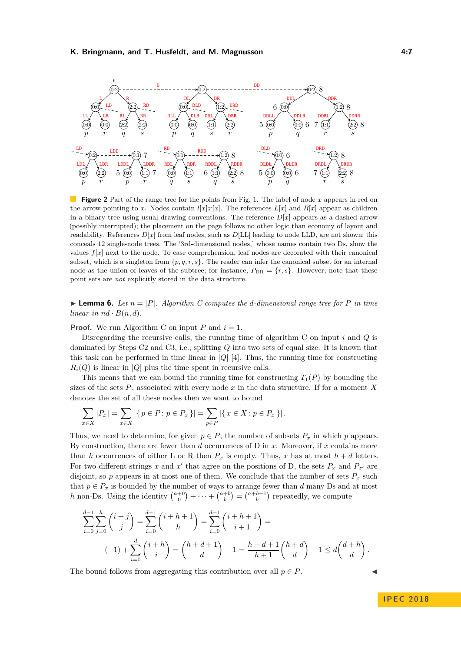

**Figure 2** Part of the range tree for the points from Fig. [1.](#page-5-1) The label of node x appears in red on the arrow pointing to x. Nodes contain  $l[x]$ :  $r[x]$ . The references  $L[x]$  and  $R[x]$  appear as children in a binary tree using usual drawing conventions. The reference  $D[x]$  appears as a dashed arrow (possibly interrupted); the placement on the page follows no other logic than economy of layout and readability. References  $D[x]$  from leaf nodes, such as  $D[LL]$  leading to node LLD, are not shown; this conceals 12 single-node trees. The '3rd-dimensional nodes,' whose names contain two Ds, show the values *f*[*x*] next to the node. To ease comprehension, leaf nodes are decorated with their canonical subset, which is a singleton from  $\{p, q, r, s\}$ . The reader can infer the canonical subset for an internal node as the union of leaves of the subtree; for instance,  $P_{\text{DR}} = \{r, s\}$ . However, note that these point sets are *not* explicitly stored in the data structure.

 $\blacktriangleright$  **Lemma 6.** Let  $n = |P|$ . Algorithm C computes the d-dimensional range tree for P in time *linear in*  $nd \cdot B(n, d)$ .

**Proof.** We run Algorithm C on input  $P$  and  $i = 1$ .

Disregarding the recursive calls, the running time of algorithm C on input *i* and *Q* is dominated by Steps C2 and C3, i.e., splitting *Q* into two sets of equal size. It is known that this task can be performed in time linear in  $|Q|$  [\[4\]](#page-12-13). Thus, the running time for constructing  $R_i(Q)$  is linear in |*Q*| plus the time spent in recursive calls.

This means that we can bound the running time for constructing  $T_1(P)$  by bounding the sizes of the sets  $P_x$  associated with every node x in the data structure. If for a moment X denotes the set of all these nodes then we want to bound

$$
\sum_{x \in X} |P_x| = \sum_{x \in X} |\{p \in P : p \in P_x\}| = \sum_{p \in P} |\{x \in X : p \in P_x\}|.
$$

Thus, we need to determine, for given  $p \in P$ , the number of subsets  $P_x$  in which  $p$  appears. By construction, there are fewer than *d* occurrences of D in *x*. Moreover, if *x* contains more than *h* occurrences of either L or R then  $P_x$  is empty. Thus, *x* has at most  $h + d$  letters. For two different strings *x* and *x'* that agree on the positions of D, the sets  $P_x$  and  $P_{x'}$  are disjoint, so  $p$  appears in at most one of them. We conclude that the number of sets  $P_x$  such that  $p \in P_x$  is bounded by the number of ways to arrange fewer than *d* many Ds and at most *h* non-Ds. Using the identity  $\binom{a+0}{0} + \cdots + \binom{a+b}{b} = \binom{a+b+1}{b}$  repeatedly, we compute

$$
\sum_{i=0}^{d-1} \sum_{j=0}^{h} {i+j \choose j} = \sum_{i=0}^{d-1} {i+h+1 \choose h} = \sum_{i=0}^{d-1} {i+h+1 \choose i+1} = (-1) + \sum_{i=0}^{d} {i+h \choose i} = {h+d+1 \choose d} - 1 = \frac{h+d+1}{h+1} {h+d \choose d} - 1 \le d {d+h \choose d}.
$$

The bound follows from aggregating this contribution over all  $p \in P$ .

**IPEC 2018**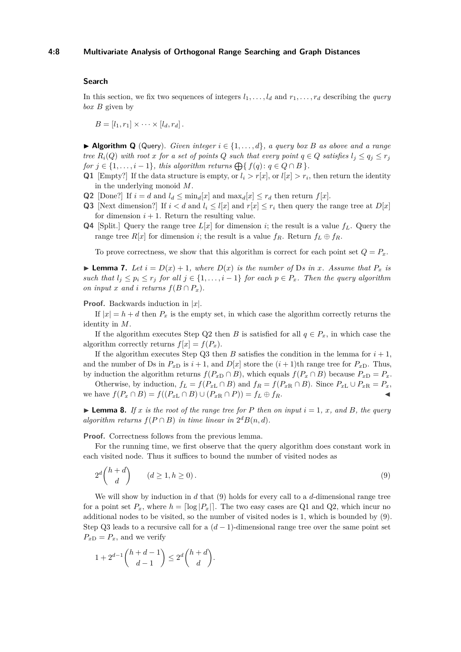#### **4:8 Multivariate Analysis of Orthogonal Range Searching and Graph Distances**

#### **Search**

In this section, we fix two sequences of integers  $l_1, \ldots, l_d$  and  $r_1, \ldots, r_d$  describing the *query box B* given by

 $B = [l_1, r_1] \times \cdots \times [l_d, r_d].$ 

**► Algorithm Q** (Query). *Given integer*  $i \in \{1, \ldots, d\}$ *, a query box B as above and a range tree*  $R_i(Q)$  *with root x for a set of points Q such that every point*  $q \in Q$  *satisfies*  $l_i \leq q_i \leq r_j$ *for*  $j \in \{1, \ldots, i-1\}$ *, this algorithm returns*  $\bigoplus \{ f(q) : q \in Q \cap B \}$ *.* 

- **Q1** [Empty?] If the data structure is empty, or  $l_i > r[x]$ , or  $l[x] > r_i$ , then return the identity in the underlying monoid *M*.
- **Q2** [Done?] If  $i = d$  and  $l_d \leq \min_d[x]$  and  $\max_d[x] \leq r_d$  then return  $f[x]$ .
- **Q3** [Next dimension?] If  $i < d$  and  $l_i \leq l[x]$  and  $r[x] \leq r_i$  then query the range tree at  $D[x]$ for dimension  $i + 1$ . Return the resulting value.
- **Q4** [Split.] Query the range tree  $L[x]$  for dimension *i*; the result is a value  $f<sub>L</sub>$ . Query the range tree  $R[x]$  for dimension *i*; the result is a value  $f_R$ . Return  $f_L \oplus f_R$ .

To prove correctness, we show that this algorithm is correct for each point set  $Q = P_x$ .

**Example 7.** *Let*  $i = D(x) + 1$ *, where*  $D(x)$  *is the number of* D*s* in *x. Assume that*  $P_x$  *is such that*  $l_j$  ≤  $r_j$  *for all*  $j$  ∈ {1, ..., *i* − 1} *for each*  $p$  ∈  $P_x$ *. Then the query algorithm on input x and i returns*  $f(B \cap P_x)$ *.* 

#### **Proof.** Backwards induction in |*x*|.

If  $|x| = h + d$  then  $P_x$  is the empty set, in which case the algorithm correctly returns the identity in *M*.

If the algorithm executes Step Q2 then *B* is satisfied for all  $q \in P_x$ , in which case the algorithm correctly returns  $f[x] = f(P_x)$ .

If the algorithm executes Step Q3 then *B* satisfies the condition in the lemma for  $i + 1$ , and the number of Ds in  $P_{xD}$  is  $i + 1$ , and  $D[x]$  store the  $(i + 1)$ th range tree for  $P_{xD}$ . Thus, by induction the algorithm returns  $f(P_x \cap B)$ , which equals  $f(P_x \cap B)$  because  $P_{xD} = P_x$ .

Otherwise, by induction,  $f_L = f(P_{xL} \cap B)$  and  $f_R = f(P_{xR} \cap B)$ . Since  $P_{xL} \cup P_{xR} = P_x$ , we have  $f(P_x \cap B) = f((P_{xL} \cap B) \cup (P_{xR} \cap P)) = f_L \oplus f_R$ .

 $\blacktriangleright$  **Lemma 8.** If x is the root of the range tree for P then on input  $i = 1, x$ , and B, the query *algorithm returns*  $f(P \cap B)$  *in time linear in*  $2^d B(n,d)$ *.* 

**Proof.** Correctness follows from the previous lemma.

For the running time, we first observe that the query algorithm does constant work in each visited node. Thus it suffices to bound the number of visited nodes as

<span id="page-7-0"></span>
$$
2^d \binom{h+d}{d} \qquad (d \ge 1, h \ge 0). \tag{9}
$$

We will show by induction in *d* that [\(9\)](#page-7-0) holds for every call to a *d*-dimensional range tree for a point set  $P_x$ , where  $h = \lfloor \log |P_x| \rfloor$ . The two easy cases are Q1 and Q2, which incur no additional nodes to be visited, so the number of visited nodes is 1, which is bounded by [\(9\)](#page-7-0). Step Q3 leads to a recursive call for a  $(d-1)$ -dimensional range tree over the same point set  $P_{xD} = P_x$ , and we verify

$$
1 + 2^{d-1} \binom{h+d-1}{d-1} \le 2^d \binom{h+d}{d}.
$$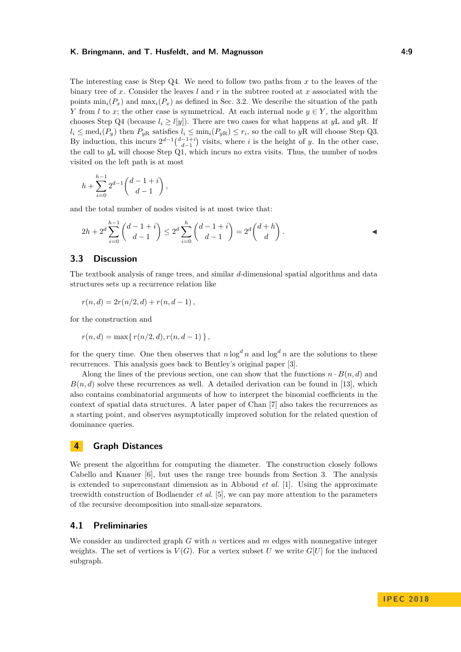The interesting case is Step Q4. We need to follow two paths from *x* to the leaves of the binary tree of *x*. Consider the leaves *l* and *r* in the subtree rooted at *x* associated with the points  $\min_i(P_x)$  and  $\max_i(P_x)$  as defined in Sec. [3.2.](#page-5-2) We describe the situation of the path *Y* from *l* to *x*; the other case is symmetrical. At each internal node  $y \in Y$ , the algorithm chooses Step Q4 (because  $l_i \geq l[y]$ ). There are two cases for what happens at *y*L and *y*R. If  $l_i \leq \text{med}_i(P_y)$  then  $P_{yR}$  satisfies  $l_i \leq \min_i(P_{yR}) \leq r_i$ , so the call to  $yR$  will choose Step Q3. By induction, this incurs  $2^{d-1} \binom{d-1+i}{d-1}$  visits, where *i* is the height of *y*. In the other case, the call to *y*L will choose Step Q1, which incurs no extra visits. Thus, the number of nodes visited on the left path is at most

$$
h + \sum_{i=0}^{h-1} 2^{d-1} {d-1+i \choose d-1},
$$

and the total number of nodes visited is at most twice that:

$$
2h + 2^d \sum_{i=0}^{h-1} {d-1+i \choose d-1} \le 2^d \sum_{i=0}^h {d-1+i \choose d-1} = 2^d {d+h \choose d}.
$$

# <span id="page-8-0"></span>**3.3 Discussion**

The textbook analysis of range trees, and similar *d*-dimensional spatial algorithms and data structures sets up a recurrence relation like

$$
r(n,d) = 2r(n/2,d) + r(n,d-1),
$$

for the construction and

$$
r(n, d) = \max\{r(n/2, d), r(n, d - 1)\},\,
$$

for the query time. One then observes that  $n \log^d n$  and  $\log^d n$  are the solutions to these recurrences. This analysis goes back to Bentley's original paper [\[3\]](#page-11-2).

Along the lines of the previous section, one can show that the functions  $n \cdot B(n, d)$  and  $B(n, d)$  solve these recurrences as well. A detailed derivation can be found in [\[13\]](#page-12-4), which also contains combinatorial arguments of how to interpret the binomial coefficients in the context of spatial data structures. A later paper of Chan [\[7\]](#page-12-14) also takes the recurrences as a starting point, and observes asymptotically improved solution for the related question of dominance queries.

# **4 Graph Distances**

We present the algorithm for computing the diameter. The construction closely follows Cabello and Knauer [\[6\]](#page-12-5), but uses the range tree bounds from Section [3.](#page-4-0) The analysis is extended to superconstant dimension as in Abboud *et al.* [\[1\]](#page-11-0). Using the approximate treewidth construction of Bodlaender *et al.* [\[5\]](#page-12-6), we can pay more attention to the parameters of the recursive decomposition into small-size separators.

#### **4.1 Preliminaries**

We consider an undirected graph *G* with *n* vertices and *m* edges with nonnegative integer weights. The set of vertices is  $V(G)$ . For a vertex subset U we write  $G[U]$  for the induced subgraph.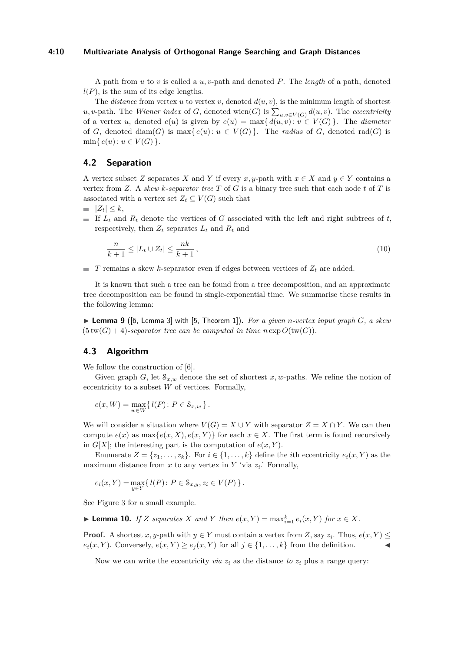#### **4:10 Multivariate Analysis of Orthogonal Range Searching and Graph Distances**

A path from *u* to *v* is called a *u, v*-path and denoted *P*. The *length* of a path, denoted  $l(P)$ , is the sum of its edge lengths.

The *distance* from vertex *u* to vertex *v*, denoted  $d(u, v)$ , is the minimum length of shortest  $u, v$ -path. The *Wiener index* of *G*, denoted wien(*G*) is  $\sum_{u,v \in V(G)} d(u,v)$ . The *eccentricity* of a vertex *u*, denoted  $e(u)$  is given by  $e(u) = \max\{d(u, v): v \in V(G)\}\.$  The *diameter* of *G*, denoted diam(*G*) is max{ $e(u): u \in V(G)$ }. The *radius* of *G*, denoted rad(*G*) is  $\min\{e(u): u \in V(G)\}.$ 

## **4.2 Separation**

A vertex subset *Z* separates *X* and *Y* if every *x*, *y*-path with  $x \in X$  and  $y \in Y$  contains a vertex from *Z*. A *skew k-separator tree T* of *G* is a binary tree such that each node *t* of *T* is associated with a vertex set  $Z_t \subseteq V(G)$  such that

- $|Z_t| < k$ ,
- If  $L_t$  and  $R_t$  denote the vertices of *G* associated with the left and right subtrees of *t*, respectively, then  $Z_t$  separates  $L_t$  and  $R_t$  and

$$
\frac{n}{k+1} \le |L_t \cup Z_t| \le \frac{nk}{k+1},\tag{10}
$$

 $T$  remains a skew *k*-separator even if edges between vertices of  $Z_t$  are added.

It is known that such a tree can be found from a tree decomposition, and an approximate tree decomposition can be found in single-exponential time. We summarise these results in the following lemma:

<span id="page-9-0"></span> $\triangleright$  **Lemma 9** ([\[6,](#page-12-5) Lemma 3] with [\[5,](#page-12-6) Theorem 1]). For a given *n*-vertex input graph *G*, a skew  $(5 \text{ tw}(G) + 4)$ -separator tree can be computed in time  $n \exp O(\text{ tw}(G)).$ 

## **4.3 Algorithm**

We follow the construction of [\[6\]](#page-12-5).

Given graph *G*, let  $S_{x,w}$  denote the set of shortest *x*, *w*-paths. We refine the notion of eccentricity to a subset *W* of vertices. Formally,

$$
e(x, W) = \max_{w \in W} \{ l(P) : P \in \mathcal{S}_{x, w} \}.
$$

We will consider a situation where  $V(G) = X \cup Y$  with separator  $Z = X \cap Y$ . We can then compute  $e(x)$  as  $\max\{e(x, X), e(x, Y)\}\)$  for each  $x \in X$ . The first term is found recursively in  $G[X]$ ; the interesting part is the computation of  $e(x, Y)$ .

Enumerate  $Z = \{z_1, \ldots, z_k\}$ . For  $i \in \{1, \ldots, k\}$  define the *i*th eccentricity  $e_i(x, Y)$  as the maximum distance from  $x$  to any vertex in  $Y$  'via  $z_i$ .' Formally,

$$
e_i(x, Y) = \max_{y \in Y} \{ l(P) : P \in S_{x,y}, z_i \in V(P) \}.
$$

See Figure [3](#page-10-0) for a small example.

▶ **Lemma 10.** *If Z separates X and Y then*  $e(x, Y) = \max_{i=1}^k e_i(x, Y)$  *for*  $x \in X$ *.* 

**Proof.** A shortest *x*, *y*-path with  $y \in Y$  must contain a vertex from *Z*, say  $z_i$ . Thus,  $e(x, Y) \leq$  $e_i(x, Y)$ . Conversely,  $e(x, Y) \ge e_j(x, Y)$  for all  $j \in \{1, ..., k\}$  from the definition.

Now we can write the eccentricity *via*  $z_i$  as the distance *to*  $z_i$  plus a range query: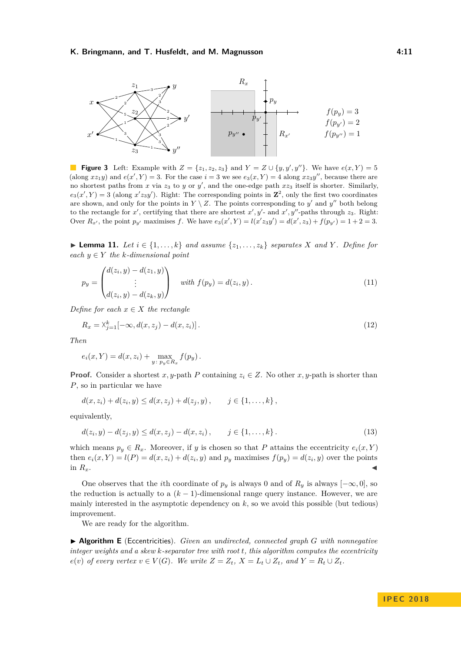<span id="page-10-0"></span>

**Figure 3** Left: Example with  $Z = \{z_1, z_2, z_3\}$  and  $Y = Z \cup \{y, y', y''\}$ . We have  $e(x, Y) = 5$ (along  $xz_1y$ ) and  $e(x', Y) = 3$ . For the case  $i = 3$  we see  $e_3(x, Y) = 4$  along  $xz_3y''$ , because there are no shortest paths from  $x$  via  $z_3$  to  $y$  or  $y'$ , and the one-edge path  $xz_3$  itself is shorter. Similarly,  $e_3(x', Y) = 3$  (along  $x'z_3y'$ ). Right: The corresponding points in  $\mathbb{Z}^2$ , only the first two coordinates are shown, and only for the points in  $Y \setminus Z$ . The points corresponding to  $y'$  and  $y''$  both belong to the rectangle for  $x'$ , certifying that there are shortest  $x', y'$ - and  $x', y''$ -paths through  $z_3$ . Right: Over  $R_{x'}$ , the point  $p_{y'}$  maximises f. We have  $e_3(x', Y) = l(x'z_3y') = d(x', z_3) + f(p_{y'}) = 1 + 2 = 3$ .

<span id="page-10-3"></span>► **Lemma 11.** Let  $i \in \{1, \ldots, k\}$  and assume  $\{z_1, \ldots, z_k\}$  separates *X* and *Y*. Define for  $\text{each } y \in Y \text{ the } k\text{-dimensional point}$ 

<span id="page-10-1"></span>
$$
p_y = \begin{pmatrix} d(z_i, y) - d(z_1, y) \\ \vdots \\ d(z_i, y) - d(z_k, y) \end{pmatrix} \text{ with } f(p_y) = d(z_i, y). \tag{11}
$$

*Define for each*  $x \in X$  *the rectangle* 

<span id="page-10-2"></span>
$$
R_x = \lambda_{j=1}^k [-\infty, d(x, z_j) - d(x, z_i)].
$$
\n(12)

*Then*

$$
e_i(x, Y) = d(x, z_i) + \max_{y : p_y \in R_x} f(p_y).
$$

**Proof.** Consider a shortest *x*, *y*-path *P* containing  $z_i \in Z$ . No other *x*, *y*-path is shorter than *P*, so in particular we have

$$
d(x, z_i) + d(z_i, y) \leq d(x, z_j) + d(z_j, y), \qquad j \in \{1, ..., k\},\
$$

equivalently,

$$
d(z_i, y) - d(z_j, y) \le d(x, z_j) - d(x, z_i), \qquad j \in \{1, \dots, k\}.
$$
\n(13)

which means  $p_y \in R_x$ . Moreover, if *y* is chosen so that *P* attains the eccentricity  $e_i(x, Y)$ then  $e_i(x, Y) = l(P) = d(x, z_i) + d(z_i, y)$  and  $p_y$  maximises  $f(p_y) = d(z_i, y)$  over the points in  $R_x$ .

One observes that the *i*th coordinate of  $p_y$  is always 0 and of  $R_y$  is always  $[-\infty, 0]$ , so the reduction is actually to a  $(k-1)$ -dimensional range query instance. However, we are mainly interested in the asymptotic dependency on  $k$ , so we avoid this possible (but tedious) improvement.

We are ready for the algorithm.

I **Algorithm E** (Eccentricities). *Given an undirected, connected graph G with nonnegative integer weights and a skew k-separator tree with root t, this algorithm computes the eccentricity*  $e(v)$  of every vertex  $v \in V(G)$ . We write  $Z = Z_t$ ,  $X = L_t \cup Z_t$ , and  $Y = R_t \cup Z_t$ .

**IPEC 2018**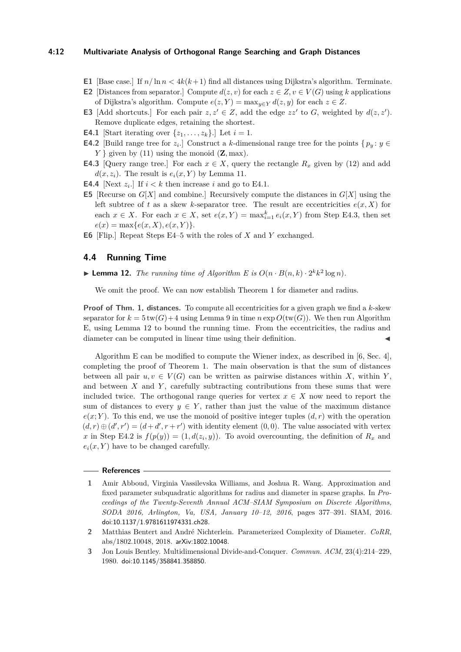#### **4:12 Multivariate Analysis of Orthogonal Range Searching and Graph Distances**

- **E1** [Base case.] If  $n/\ln n < 4k(k+1)$  find all distances using Dijkstra's algorithm. Terminate.
- **E2** [Distances from separator.] Compute  $d(z, v)$  for each  $z \in Z, v \in V(G)$  using *k* applications of Dijkstra's algorithm. Compute  $e(z, Y) = \max_{y \in Y} d(z, y)$  for each  $z \in Z$ .
- **E3** [Add shortcuts.] For each pair  $z, z' \in Z$ , add the edge  $zz'$  to *G*, weighted by  $d(z, z')$ . Remove duplicate edges, retaining the shortest.
- **E4.1** [Start iterating over  $\{z_1, \ldots, z_k\}$ .] Let  $i = 1$ .
- **E4.2** [Build range tree for  $z_i$ .] Construct a *k*-dimensional range tree for the points  $\{p_y : y \in$  $Y \}$  given by [\(11\)](#page-10-1) using the monoid  $(\mathbf{Z}, \text{max})$ .
- **E4.3** [Query range tree.] For each  $x \in X$ , query the rectangle  $R_x$  given by [\(12\)](#page-10-2) and add  $d(x, z_i)$ . The result is  $e_i(x, Y)$  by Lemma [11.](#page-10-3)
- **E4.4** [Next  $z_i$ .] If  $i < k$  then increase *i* and go to E4.1.
- **E5** [Recurse on *G*[*X*] and combine.] Recursively compute the distances in *G*[*X*] using the left subtree of *t* as a skew *k*-separator tree. The result are eccentricities  $e(x, X)$  for each  $x \in X$ . For each  $x \in X$ , set  $e(x, Y) = \max_{i=1}^k e_i(x, Y)$  from Step E4.3, then set  $e(x) = \max\{e(x, X), e(x, Y)\}.$
- **E6** [Flip.] Repeat Steps E4–5 with the roles of *X* and *Y* exchanged.

#### **4.4 Running Time**

# <span id="page-11-3"></span>**Example 12.** *The running time of Algorithm E is*  $O(n \cdot B(n, k) \cdot 2^k k^2 \log n)$ *.*

We omit the proof. We can now establish Theorem [1](#page-1-1) for diameter and radius.

**Proof of Thm. [1,](#page-1-1) distances.** To compute all eccentricities for a given graph we find a *k*-skew separator for  $k = 5 \text{ tw}(G) + 4$  using Lemma [9](#page-9-0) in time  $n \exp O(\text{tw}(G))$ . We then run Algorithm E, using Lemma [12](#page-11-3) to bound the running time. From the eccentricities, the radius and diameter can be computed in linear time using their definition.

Algorithm E can be modified to compute the Wiener index, as described in [\[6,](#page-12-5) Sec. 4], completing the proof of Theorem [1.](#page-1-1) The main observation is that the sum of distances between all pair  $u, v \in V(G)$  can be written as pairwise distances within *X*, within *Y*, and between *X* and *Y* , carefully subtracting contributions from these sums that were included twice. The orthogonal range queries for vertex  $x \in X$  now need to report the sum of distances to every  $y \in Y$ , rather than just the value of the maximum distance  $e(x; Y)$ . To this end, we use the monoid of positive integer tuples  $(d, r)$  with the operation  $(d, r) \oplus (d', r') = (d + d', r + r')$  with identity element  $(0, 0)$ . The value associated with vertex *x* in Step E4.2 is  $f(p(y)) = (1, d(z_i, y))$ . To avoid overcounting, the definition of  $R_x$  and  $e_i(x, Y)$  have to be changed carefully.

#### **References**

<span id="page-11-0"></span>**<sup>1</sup>** Amir Abboud, Virginia Vassilevska Williams, and Joshua R. Wang. Approximation and fixed parameter subquadratic algorithms for radius and diameter in sparse graphs. In *Proceedings of the Twenty-Seventh Annual ACM–SIAM Symposium on Discrete Algorithms, SODA 2016, Arlington, Va, USA, January 10–12, 2016*, pages 377–391. SIAM, 2016. [doi:10.1137/1.9781611974331.ch28](http://dx.doi.org/10.1137/1.9781611974331.ch28).

<span id="page-11-1"></span>**<sup>2</sup>** Matthias Bentert and André Nichterlein. Parameterized Complexity of Diameter. *CoRR*, abs/1802.10048, 2018. [arXiv:1802.10048](http://arxiv.org/abs/1802.10048).

<span id="page-11-2"></span>**<sup>3</sup>** Jon Louis Bentley. Multidimensional Divide-and-Conquer. *Commun. ACM*, 23(4):214–229, 1980. [doi:10.1145/358841.358850](http://dx.doi.org/10.1145/358841.358850).